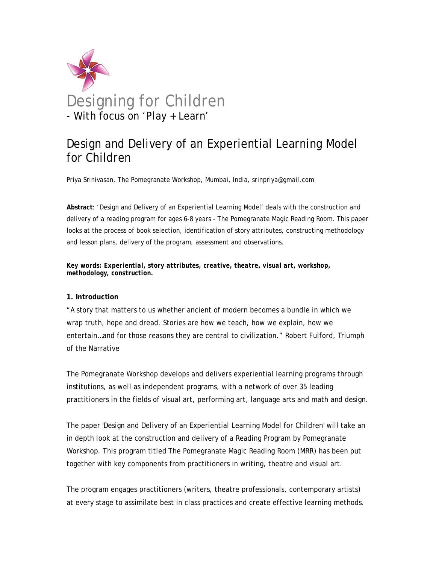

# Design and Delivery of an Experiential Learning Model for Children

Priya Srinivasan, The Pomegranate Workshop, Mumbai, India, srinpriya@gmail.com

**Abstract**: 'Design and Delivery of an Experiential Learning Model' deals with the construction and delivery of a reading program for ages 6-8 years - The Pomegranate Magic Reading Room. This paper looks at the process of book selection, identification of story attributes, constructing methodology and lesson plans, delivery of the program, assessment and observations.

*Key words: Experiential, story attributes, creative, theatre, visual art, workshop, methodology, construction.* 

#### **1. Introduction**

"A story that matters to us whether ancient of modern becomes a bundle in which we wrap truth, hope and dread. Stories are how we teach, how we explain, how we entertain…and for those reasons they are central to civilization." Robert Fulford, Triumph of the Narrative

The Pomegranate Workshop develops and delivers experiential learning programs through institutions, as well as independent programs, with a network of over 35 leading practitioners in the fields of visual art, performing art, language arts and math and design.

The paper 'Design and Delivery of an Experiential Learning Model for Children' will take an in depth look at the construction and delivery of a Reading Program by Pomegranate Workshop. This program titled The Pomegranate Magic Reading Room (MRR) has been put together with key components from practitioners in writing, theatre and visual art.

The program engages practitioners (writers, theatre professionals, contemporary artists) at every stage to assimilate best in class practices and create effective learning methods.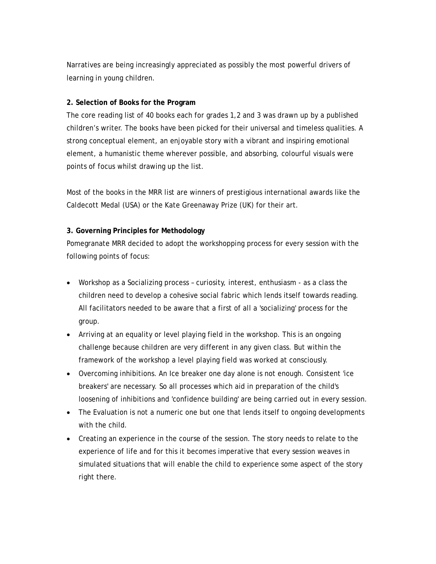Narratives are being increasingly appreciated as possibly the most powerful drivers of learning in young children.

## **2. Selection of Books for the Program**

The core reading list of 40 books each for grades 1,2 and 3 was drawn up by a published children's writer. The books have been picked for their universal and timeless qualities. A strong conceptual element, an enjoyable story with a vibrant and inspiring emotional element, a humanistic theme wherever possible, and absorbing, colourful visuals were points of focus whilst drawing up the list.

Most of the books in the MRR list are winners of prestigious international awards like the Caldecott Medal (USA) or the Kate Greenaway Prize (UK) for their art.

## **3. Governing Principles for Methodology**

Pomegranate MRR decided to adopt the workshopping process for every session with the following points of focus:

- Workshop as a Socializing process curiosity, interest, enthusiasm as a class the children need to develop a cohesive social fabric which lends itself towards reading. All facilitators needed to be aware that a first of all a 'socializing' process for the group.
- Arriving at an equality or level playing field in the workshop. This is an ongoing challenge because children are very different in any given class. But within the framework of the workshop a level playing field was worked at consciously.
- Overcoming inhibitions. An Ice breaker one day alone is not enough. Consistent 'ice breakers' are necessary. So all processes which aid in preparation of the child's loosening of inhibitions and 'confidence building' are being carried out in every session.
- The Evaluation is not a numeric one but one that lends itself to ongoing developments with the child.
- Creating an experience in the course of the session. The story needs to relate to the experience of life and for this it becomes imperative that every session weaves in simulated situations that will enable the child to experience some aspect of the story right there.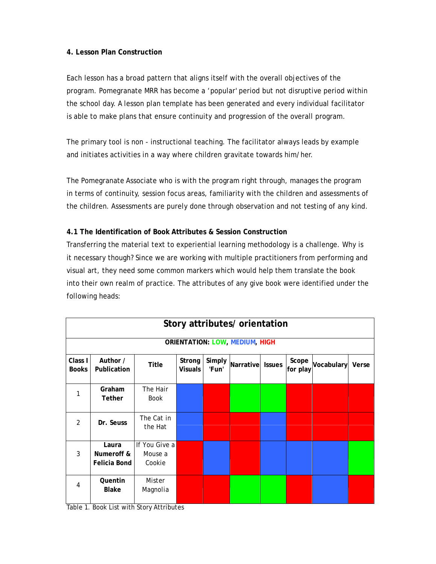## **4. Lesson Plan Construction**

Each lesson has a broad pattern that aligns itself with the overall objectives of the program. Pomegranate MRR has become a 'popular' period but not disruptive period within the school day. A lesson plan template has been generated and every individual facilitator is able to make plans that ensure continuity and progression of the overall program.

The primary tool is non - instructional teaching. The facilitator always leads by example and initiates activities in a way where children gravitate towards him/her.

The Pomegranate Associate who is with the program right through, manages the program in terms of continuity, session focus areas, familiarity with the children and assessments of the children. Assessments are purely done through observation and not testing of any kind.

## **4.1 The Identification of Book Attributes & Session Construction**

Transferring the material text to experiential learning methodology is a challenge. Why is it necessary though? Since we are working with multiple practitioners from performing and visual art, they need some common markers which would help them translate the book into their own realm of practice. The attributes of any give book were identified under the following heads:

| Story attributes/ orientation |                                            |                                    |                          |                 |                  |  |                   |                  |  |
|-------------------------------|--------------------------------------------|------------------------------------|--------------------------|-----------------|------------------|--|-------------------|------------------|--|
|                               | <b>ORIENTATION: LOW, MEDIUM, HIGH</b>      |                                    |                          |                 |                  |  |                   |                  |  |
| Class I<br><b>Books</b>       | Author /<br>Publication                    | Title                              | Strong<br><b>Visuals</b> | Simply<br>'Fun' | Narrative Issues |  | Scope<br>for play | Vocabulary Verse |  |
| 1                             | Graham<br><b>Tether</b>                    | The Hair<br>Book                   |                          |                 |                  |  |                   |                  |  |
| 2                             | Dr. Seuss                                  | The Cat in<br>the Hat              |                          |                 |                  |  |                   |                  |  |
| 3                             | Laura<br>Numeroff &<br><b>Felicia Bond</b> | If You Give a<br>Mouse a<br>Cookie |                          |                 |                  |  |                   |                  |  |
| 4                             | Quentin<br><b>Blake</b>                    | Mister<br>Magnolia                 |                          |                 |                  |  |                   |                  |  |

Table 1. Book List with Story Attributes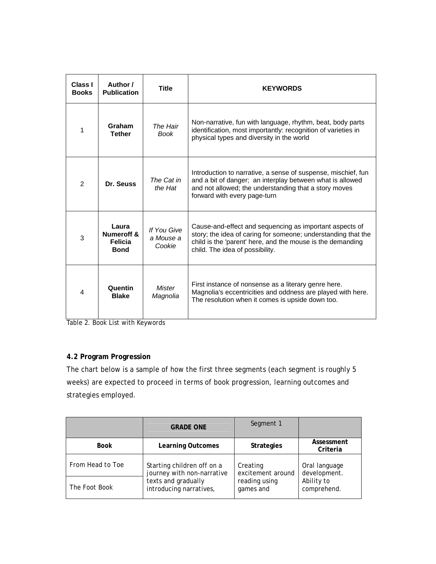| Class I<br><b>Books</b> | Author /<br><b>Publication</b>                                  | <b>Title</b>                       | <b>KEYWORDS</b>                                                                                                                                                                                                           |
|-------------------------|-----------------------------------------------------------------|------------------------------------|---------------------------------------------------------------------------------------------------------------------------------------------------------------------------------------------------------------------------|
| 1                       | Graham<br><b>Tether</b>                                         | The Hair<br><b>Book</b>            | Non-narrative, fun with language, rhythm, beat, body parts<br>identification, most importantly: recognition of varieties in<br>physical types and diversity in the world                                                  |
| $\overline{2}$          | Dr. Seuss                                                       | The Cat in<br>the Hat              | Introduction to narrative, a sense of suspense, mischief, fun<br>and a bit of danger; an interplay between what is allowed<br>and not allowed; the understanding that a story moves<br>forward with every page-turn       |
| 3                       | Laura<br><b>Numeroff &amp;</b><br><b>Felicia</b><br><b>Bond</b> | If You Give<br>a Mouse a<br>Cookie | Cause-and-effect and sequencing as important aspects of<br>story; the idea of caring for someone; understanding that the<br>child is the 'parent' here, and the mouse is the demanding<br>child. The idea of possibility. |
| 4                       | Quentin<br><b>Blake</b>                                         | <b>Mister</b><br>Magnolia          | First instance of nonsense as a literary genre here.<br>Magnolia's eccentricities and oddness are played with here.<br>The resolution when it comes is upside down too.                                                   |

Table 2. Book List with Keywords

# **4.2 Program Progression**

The chart below is a sample of how the first three segments (each segment is roughly 5 weeks) are expected to proceed in terms of book progression, learning outcomes and strategies employed.

|                  | <b>GRADE ONE</b>           | Segment 1         |                        |
|------------------|----------------------------|-------------------|------------------------|
| Book             | <b>Learning Outcomes</b>   | <b>Strategies</b> | Assessment<br>Criteria |
| From Head to Toe | Starting children off on a | Creating          | Oral language          |
|                  | journey with non-narrative | excitement around | development.           |
| The Foot Book    | texts and gradually        | reading using     | Ability to             |
|                  | introducing narratives,    | games and         | comprehend.            |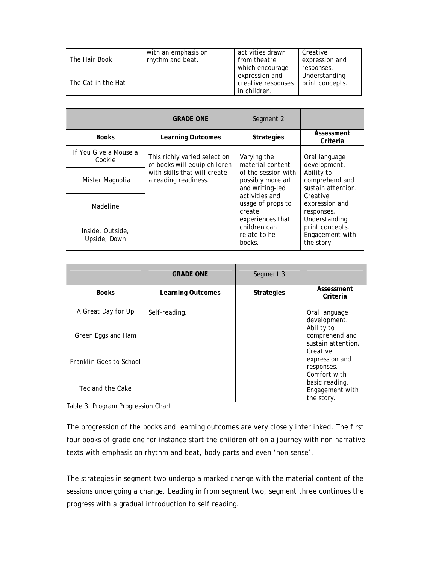|                      | with an emphasis on | activities drawn   | Creative        |
|----------------------|---------------------|--------------------|-----------------|
| <i>The Hair Book</i> | rhythm and beat.    | from theatre       | expression and  |
|                      |                     | which encourage    | responses.      |
|                      |                     | expression and     | Understanding   |
| The Cat in the Hat   |                     | creative responses | print concepts. |
|                      |                     | in children.       |                 |

|                                  | <b>GRADE ONE</b>                                             | Segment 2                                                         |                                                                                                                 |
|----------------------------------|--------------------------------------------------------------|-------------------------------------------------------------------|-----------------------------------------------------------------------------------------------------------------|
| <b>Books</b>                     | <b>Learning Outcomes</b>                                     | <b>Strategies</b>                                                 | Assessment<br>Criteria                                                                                          |
| If You Give a Mouse a<br>Cookie  | This richly varied selection<br>of books will equip children | Varying the<br>material content                                   | Oral language<br>development.                                                                                   |
| Mister Magnolia                  | with skills that will create<br>a reading readiness.         | of the session with<br>possibly more art<br>and writing-led       | Ability to<br>comprehend and<br>sustain attention.<br>Creative<br>expression and<br>responses.<br>Understanding |
| Madeline                         |                                                              | activities and<br>usage of props to<br>create<br>experiences that |                                                                                                                 |
| Inside, Outside,<br>Upside, Down |                                                              | children can<br>relate to he<br>books.                            | print concepts.<br>Engagement with<br>the story.                                                                |

|                         | <b>GRADE ONE</b>         | Segment 3         |                                                                 |
|-------------------------|--------------------------|-------------------|-----------------------------------------------------------------|
| <b>Books</b>            | <b>Learning Outcomes</b> | <b>Strategies</b> | Assessment<br>Criteria                                          |
| A Great Day for Up      | Self-reading.            |                   | Oral language<br>development.                                   |
| Green Eggs and Ham      |                          |                   | Ability to<br>comprehend and<br>sustain attention.              |
| Franklin Goes to School |                          |                   | Creative<br>expression and<br>responses.                        |
| Tec and the Cake        |                          |                   | Comfort with<br>basic reading.<br>Engagement with<br>the story. |

Table 3. Program Progression Chart

The progression of the books and learning outcomes are very closely interlinked. The first four books of grade one for instance start the children off on a journey with non narrative texts with emphasis on rhythm and beat, body parts and even 'non sense'.

The strategies in segment two undergo a marked change with the material content of the sessions undergoing a change. Leading in from segment two, segment three continues the progress with a gradual introduction to self reading.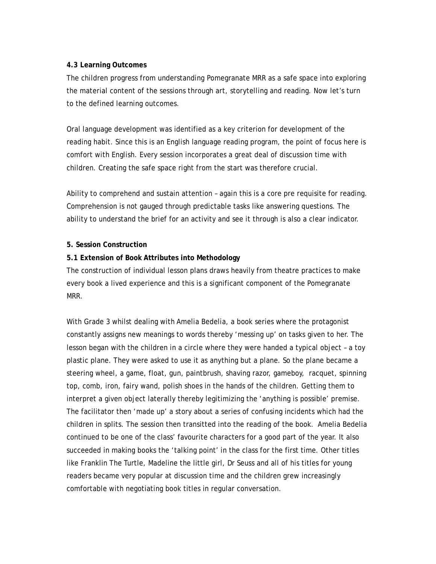#### **4.3 Learning Outcomes**

The children progress from understanding Pomegranate MRR as a safe space into exploring the material content of the sessions through art, storytelling and reading. Now let's turn to the defined learning outcomes.

Oral language development was identified as a key criterion for development of the reading habit. Since this is an English language reading program, the point of focus here is comfort with English. Every session incorporates a great deal of discussion time with children. Creating the safe space right from the start was therefore crucial.

Ability to comprehend and sustain attention – again this is a core pre requisite for reading. Comprehension is not gauged through predictable tasks like answering questions. The ability to understand the brief for an activity and see it through is also a clear indicator.

## **5. Session Construction**

#### **5.1 Extension of Book Attributes into Methodology**

The construction of individual lesson plans draws heavily from theatre practices to make every book a lived experience and this is a significant component of the Pomegranate MRR.

With Grade 3 whilst dealing with Amelia Bedelia, a book series where the protagonist constantly assigns new meanings to words thereby 'messing up' on tasks given to her. The lesson began with the children in a circle where they were handed a typical object – a toy plastic plane. They were asked to use it as anything but a plane. So the plane became a steering wheel, a game, float, gun, paintbrush, shaving razor, gameboy, racquet, spinning top, comb, iron, fairy wand, polish shoes in the hands of the children. Getting them to interpret a given object laterally thereby legitimizing the 'anything is possible' premise. The facilitator then 'made up' a story about a series of confusing incidents which had the children in splits. The session then transitted into the reading of the book. Amelia Bedelia continued to be one of the class' favourite characters for a good part of the year. It also succeeded in making books the 'talking point' in the class for the first time. Other titles like Franklin The Turtle, Madeline the little girl, Dr Seuss and all of his titles for young readers became very popular at discussion time and the children grew increasingly comfortable with negotiating book titles in regular conversation.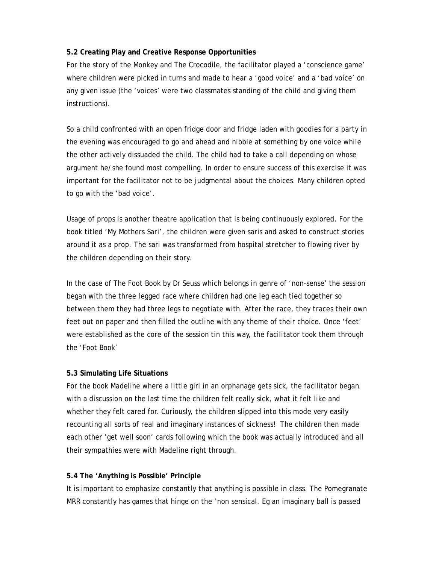### **5.2 Creating Play and Creative Response Opportunities**

For the story of the Monkey and The Crocodile, the facilitator played a 'conscience game' where children were picked in turns and made to hear a 'good voice' and a 'bad voice' on any given issue (the 'voices' were two classmates standing of the child and giving them instructions).

So a child confronted with an open fridge door and fridge laden with goodies for a party in the evening was encouraged to go and ahead and nibble at something by one voice while the other actively dissuaded the child. The child had to take a call depending on whose argument he/she found most compelling. In order to ensure success of this exercise it was important for the facilitator not to be judgmental about the choices. Many children opted to go with the 'bad voice'.

Usage of props is another theatre application that is being continuously explored. For the book titled 'My Mothers Sari', the children were given saris and asked to construct stories around it as a prop. The sari was transformed from hospital stretcher to flowing river by the children depending on their story.

In the case of The Foot Book by Dr Seuss which belongs in genre of 'non-sense' the session began with the three legged race where children had one leg each tied together so between them they had three legs to negotiate with. After the race, they traces their own feet out on paper and then filled the outline with any theme of their choice. Once 'feet' were established as the core of the session tin this way, the facilitator took them through the 'Foot Book'

#### **5.3 Simulating Life Situations**

For the book Madeline where a little girl in an orphanage gets sick, the facilitator began with a discussion on the last time the children felt really sick, what it felt like and whether they felt cared for. Curiously, the children slipped into this mode very easily recounting all sorts of real and imaginary instances of sickness! The children then made each other 'get well soon' cards following which the book was actually introduced and all their sympathies were with Madeline right through.

#### **5.4 The 'Anything is Possible' Principle**

It is important to emphasize constantly that anything is possible in class. The Pomegranate MRR constantly has games that hinge on the 'non sensical. Eg an imaginary ball is passed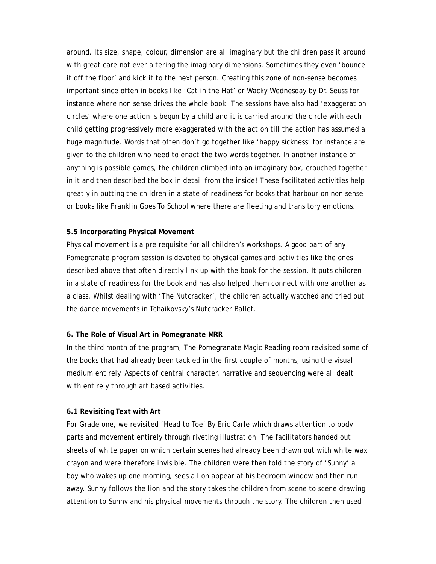around. Its size, shape, colour, dimension are all imaginary but the children pass it around with great care not ever altering the imaginary dimensions. Sometimes they even 'bounce it off the floor' and kick it to the next person. Creating this zone of non-sense becomes important since often in books like 'Cat in the Hat' or Wacky Wednesday by Dr. Seuss for instance where non sense drives the whole book. The sessions have also had 'exaggeration circles' where one action is begun by a child and it is carried around the circle with each child getting progressively more exaggerated with the action till the action has assumed a huge magnitude. Words that often don't go together like 'happy sickness' for instance are given to the children who need to enact the two words together. In another instance of anything is possible games, the children climbed into an imaginary box, crouched together in it and then described the box in detail from the inside! These facilitated activities help greatly in putting the children in a state of readiness for books that harbour on non sense or books like Franklin Goes To School where there are fleeting and transitory emotions.

#### **5.5 Incorporating Physical Movement**

Physical movement is a pre requisite for all children's workshops. A good part of any Pomegranate program session is devoted to physical games and activities like the ones described above that often directly link up with the book for the session. It puts children in a state of readiness for the book and has also helped them connect with one another as a class. Whilst dealing with 'The Nutcracker', the children actually watched and tried out the dance movements in Tchaikovsky's Nutcracker Ballet.

#### **6. The Role of Visual Art in Pomegranate MRR**

In the third month of the program, The Pomegranate Magic Reading room revisited some of the books that had already been tackled in the first couple of months, using the visual medium entirely. Aspects of central character, narrative and sequencing were all dealt with entirely through art based activities.

#### **6.1 Revisiting Text with Art**

For Grade one, we revisited 'Head to Toe' By Eric Carle which draws attention to body parts and movement entirely through riveting illustration. The facilitators handed out sheets of white paper on which certain scenes had already been drawn out with white wax crayon and were therefore invisible. The children were then told the story of 'Sunny' a boy who wakes up one morning, sees a lion appear at his bedroom window and then run away. Sunny follows the lion and the story takes the children from scene to scene drawing attention to Sunny and his physical movements through the story. The children then used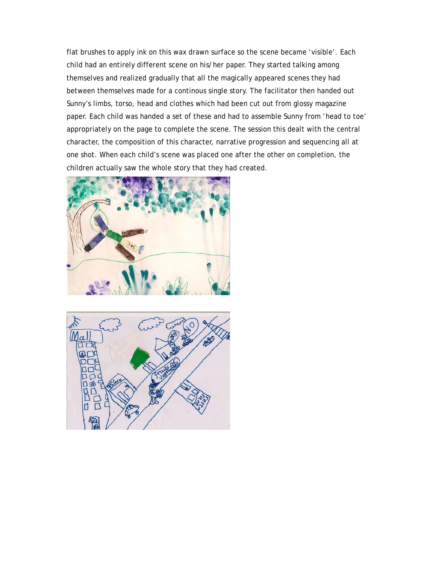flat brushes to apply ink on this wax drawn surface so the scene became 'visible'. Each child had an entirely different scene on his/her paper. They started talking among themselves and realized gradually that all the magically appeared scenes they had between themselves made for a continous single story. The facilitator then handed out Sunny's limbs, torso, head and clothes which had been cut out from glossy magazine paper. Each child was handed a set of these and had to assemble Sunny from 'head to toe' appropriately on the page to complete the scene. The session this dealt with the central character, the composition of this character, narrative progression and sequencing all at one shot. When each child's scene was placed one after the other on completion, the children actually saw the whole story that they had created.



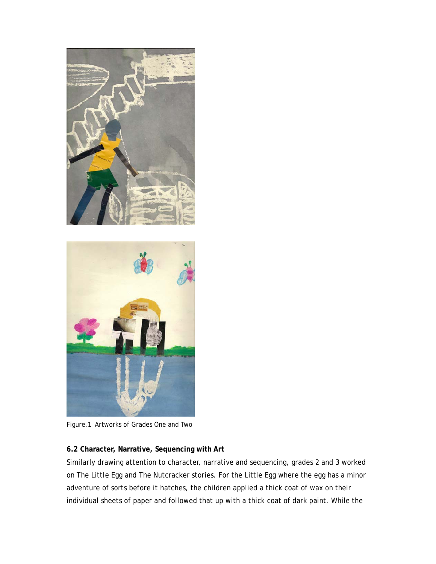

Figure.1 Artworks of Grades One and Two

## **6.2 Character, Narrative, Sequencing with Art**

Similarly drawing attention to character, narrative and sequencing, grades 2 and 3 worked on The Little Egg and The Nutcracker stories. For the Little Egg where the egg has a minor adventure of sorts before it hatches, the children applied a thick coat of wax on their individual sheets of paper and followed that up with a thick coat of dark paint. While the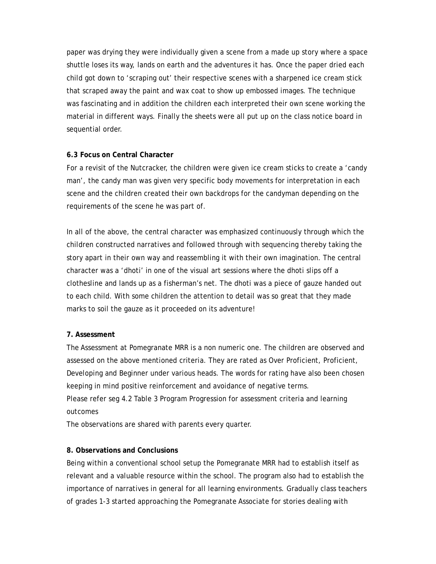paper was drying they were individually given a scene from a made up story where a space shuttle loses its way, lands on earth and the adventures it has. Once the paper dried each child got down to 'scraping out' their respective scenes with a sharpened ice cream stick that scraped away the paint and wax coat to show up embossed images. The technique was fascinating and in addition the children each interpreted their own scene working the material in different ways. Finally the sheets were all put up on the class notice board in sequential order.

#### **6.3 Focus on Central Character**

For a revisit of the Nutcracker, the children were given ice cream sticks to create a 'candy man', the candy man was given very specific body movements for interpretation in each scene and the children created their own backdrops for the candyman depending on the requirements of the scene he was part of.

In all of the above, the central character was emphasized continuously through which the children constructed narratives and followed through with sequencing thereby taking the story apart in their own way and reassembling it with their own imagination. The central character was a 'dhoti' in one of the visual art sessions where the dhoti slips off a clothesline and lands up as a fisherman's net. The dhoti was a piece of gauze handed out to each child. With some children the attention to detail was so great that they made marks to soil the gauze as it proceeded on its adventure!

#### **7. Assessment**

The Assessment at Pomegranate MRR is a non numeric one. The children are observed and assessed on the above mentioned criteria. They are rated as Over Proficient, Proficient, Developing and Beginner under various heads. The words for rating have also been chosen keeping in mind positive reinforcement and avoidance of negative terms. Please refer seg 4.2 Table 3 Program Progression for assessment criteria and learning outcomes

The observations are shared with parents every quarter.

#### **8. Observations and Conclusions**

Being within a conventional school setup the Pomegranate MRR had to establish itself as relevant and a valuable resource within the school. The program also had to establish the importance of narratives in general for all learning environments. Gradually class teachers of grades 1-3 started approaching the Pomegranate Associate for stories dealing with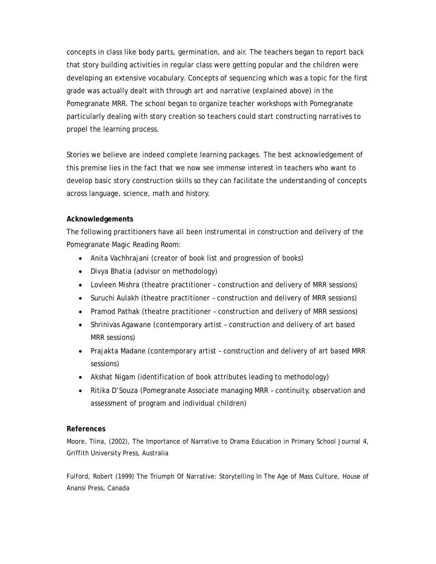concepts in class like body parts, germination, and air. The teachers began to report back that story building activities in regular class were getting popular and the children were developing an extensive vocabulary. Concepts of sequencing which was a topic for the first grade was actually dealt with through art and narrative (explained above) in the Pomegranate MRR. The school began to organize teacher workshops with Pomegranate particularly dealing with story creation so teachers could start constructing narratives to propel the learning process.

Stories we believe are indeed complete learning packages. The best acknowledgement of this premise lies in the fact that we now see immense interest in teachers who want to develop basic story construction skills so they can facilitate the understanding of concepts across language, science, math and history.

## **Acknowledgements**

The following practitioners have all been instrumental in construction and delivery of the Pomegranate Magic Reading Room:

- Anita Vachhrajani (creator of book list and progression of books)
- Divya Bhatia (advisor on methodology)
- Lovleen Mishra (theatre practitioner construction and delivery of MRR sessions)
- Suruchi Aulakh (theatre practitioner construction and delivery of MRR sessions)
- Pramod Pathak (theatre practitioner construction and delivery of MRR sessions)
- Shrinivas Agawane (contemporary artist construction and delivery of art based MRR sessions)
- Prajakta Madane (contemporary artist construction and delivery of art based MRR sessions)
- Akshat Nigam (identification of book attributes leading to methodology)
- Ritika D'Souza (Pomegranate Associate managing MRR continuity, observation and assessment of program and individual children)

## **References**

Moore, Tiina, (2002), The Importance of Narrative to Drama Education in Primary School Journal 4, Griffith University Press, Australia

Fulford, Robert (1999) The Triumph Of Narrative: Storytelling In The Age of Mass Culture, House of Anansi Press, Canada